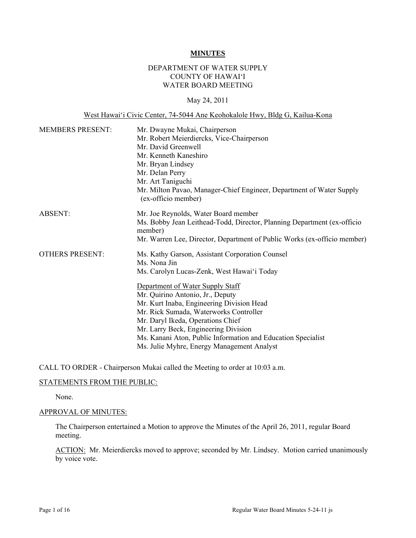#### **MINUTES**

## DEPARTMENT OF WATER SUPPLY COUNTY OF HAWAI'I WATER BOARD MEETING

### May 24, 2011

### West Hawai'i Civic Center, 74-5044 Ane Keohokalole Hwy, Bldg G, Kailua-Kona

| <b>MEMBERS PRESENT:</b> | Mr. Dwayne Mukai, Chairperson<br>Mr. Robert Meierdiercks, Vice-Chairperson<br>Mr. David Greenwell<br>Mr. Kenneth Kaneshiro<br>Mr. Bryan Lindsey<br>Mr. Delan Perry<br>Mr. Art Taniguchi<br>Mr. Milton Pavao, Manager-Chief Engineer, Department of Water Supply<br>(ex-officio member) |
|-------------------------|----------------------------------------------------------------------------------------------------------------------------------------------------------------------------------------------------------------------------------------------------------------------------------------|
| ABSENT:                 | Mr. Joe Reynolds, Water Board member<br>Ms. Bobby Jean Leithead-Todd, Director, Planning Department (ex-officio<br>member)<br>Mr. Warren Lee, Director, Department of Public Works (ex-officio member)                                                                                 |
| <b>OTHERS PRESENT:</b>  | Ms. Kathy Garson, Assistant Corporation Counsel<br>Ms. Nona Jin<br>Ms. Carolyn Lucas-Zenk, West Hawai'i Today<br>Department of Water Supply Staff<br>Mr. Quirino Antonio, Jr., Deputy<br>Mr. Kurt Inaba, Engineering Division Head                                                     |
|                         | Mr. Rick Sumada, Waterworks Controller<br>Mr. Daryl Ikeda, Operations Chief<br>Mr. Larry Beck, Engineering Division<br>Ms. Kanani Aton, Public Information and Education Specialist<br>Ms. Julie Myhre, Energy Management Analyst                                                      |

CALL TO ORDER - Chairperson Mukai called the Meeting to order at 10:03 a.m.

### STATEMENTS FROM THE PUBLIC:

None.

## APPROVAL OF MINUTES:

The Chairperson entertained a Motion to approve the Minutes of the April 26, 2011, regular Board meeting.

ACTION: Mr. Meierdiercks moved to approve; seconded by Mr. Lindsey. Motion carried unanimously by voice vote.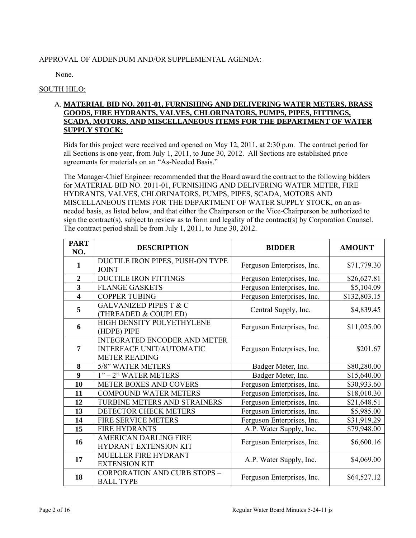# APPROVAL OF ADDENDUM AND/OR SUPPLEMENTAL AGENDA:

None.

# SOUTH HILO:

# A. **MATERIAL BID NO. 2011-01, FURNISHING AND DELIVERING WATER METERS, BRASS GOODS, FIRE HYDRANTS, VALVES, CHLORINATORS, PUMPS, PIPES, FITTINGS, SCADA, MOTORS, AND MISCELLANEOUS ITEMS FOR THE DEPARTMENT OF WATER SUPPLY STOCK:**

Bids for this project were received and opened on May 12, 2011, at 2:30 p.m. The contract period for all Sections is one year, from July 1, 2011, to June 30, 2012. All Sections are established price agreements for materials on an "As-Needed Basis."

The Manager-Chief Engineer recommended that the Board award the contract to the following bidders for MATERIAL BID NO. 2011-01, FURNISHING AND DELIVERING WATER METER, FIRE HYDRANTS, VALVES, CHLORINATORS, PUMPS, PIPES, SCADA, MOTORS AND MISCELLANEOUS ITEMS FOR THE DEPARTMENT OF WATER SUPPLY STOCK, on an asneeded basis, as listed below, and that either the Chairperson or the Vice-Chairperson be authorized to sign the contract(s), subject to review as to form and legality of the contract(s) by Corporation Counsel. The contract period shall be from July 1, 2011, to June 30, 2012.

| <b>PART</b><br>NO.      | <b>DESCRIPTION</b>                                                                             | <b>BIDDER</b>              | <b>AMOUNT</b> |
|-------------------------|------------------------------------------------------------------------------------------------|----------------------------|---------------|
| 1                       | DUCTILE IRON PIPES, PUSH-ON TYPE<br><b>JOINT</b>                                               | Ferguson Enterprises, Inc. | \$71,779.30   |
| $\overline{2}$          | DUCTILE IRON FITTINGS                                                                          | Ferguson Enterprises, Inc. | \$26,627.81   |
| $\overline{\mathbf{3}}$ | <b>FLANGE GASKETS</b>                                                                          | Ferguson Enterprises, Inc. | \$5,104.09    |
| 4                       | <b>COPPER TUBING</b>                                                                           | Ferguson Enterprises, Inc. | \$132,803.15  |
| 5                       | <b>GALVANIZED PIPES T &amp; C</b><br>(THREADED & COUPLED)                                      | Central Supply, Inc.       | \$4,839.45    |
| 6                       | HIGH DENSITY POLYETHYLENE<br>(HDPE) PIPE                                                       | Ferguson Enterprises, Inc. | \$11,025.00   |
| 7                       | <b>INTEGRATED ENCODER AND METER</b><br><b>INTERFACE UNIT/AUTOMATIC</b><br><b>METER READING</b> | Ferguson Enterprises, Inc. | \$201.67      |
| 8                       | 5/8" WATER METERS                                                                              | Badger Meter, Inc.         | \$80,280.00   |
| 9                       | 1" - 2" WATER METERS                                                                           | Badger Meter, Inc.         | \$15,640.00   |
| 10                      | METER BOXES AND COVERS                                                                         | Ferguson Enterprises, Inc. | \$30,933.60   |
| 11                      | <b>COMPOUND WATER METERS</b>                                                                   | Ferguson Enterprises, Inc. | \$18,010.30   |
| 12                      | TURBINE METERS AND STRAINERS                                                                   | Ferguson Enterprises, Inc. | \$21,648.51   |
| 13                      | DETECTOR CHECK METERS                                                                          | Ferguson Enterprises, Inc. | \$5,985.00    |
| 14                      | <b>FIRE SERVICE METERS</b>                                                                     | Ferguson Enterprises, Inc. | \$31,919.29   |
| 15                      | <b>FIRE HYDRANTS</b>                                                                           | A.P. Water Supply, Inc.    | \$79,948.00   |
| 16                      | <b>AMERICAN DARLING FIRE</b><br><b>HYDRANT EXTENSION KIT</b>                                   | Ferguson Enterprises, Inc. | \$6,600.16    |
| 17                      | MUELLER FIRE HYDRANT<br><b>EXTENSION KIT</b>                                                   | A.P. Water Supply, Inc.    | \$4,069.00    |
| 18                      | <b>CORPORATION AND CURB STOPS -</b><br><b>BALL TYPE</b>                                        | Ferguson Enterprises, Inc. | \$64,527.12   |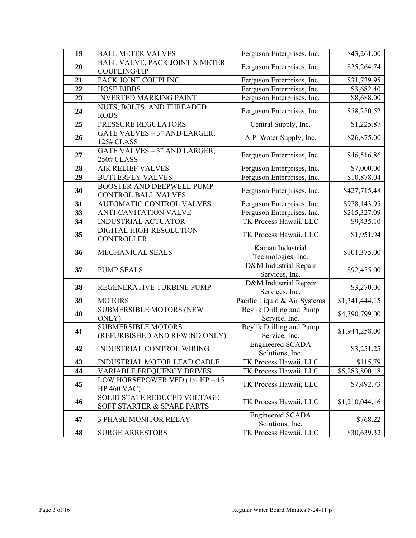| 19 | <b>BALL METER VALVES</b>                                                        | Ferguson Enterprises, Inc.                                  | \$43,261.00                  |
|----|---------------------------------------------------------------------------------|-------------------------------------------------------------|------------------------------|
|    | BALL VALVE, PACK JOINT X METER                                                  |                                                             |                              |
| 20 | <b>COUPLING/FIP</b>                                                             | Ferguson Enterprises, Inc.                                  | \$25,264.74                  |
| 21 | PACK JOINT COUPLING                                                             | Ferguson Enterprises, Inc.                                  | \$31,739.95                  |
| 22 | <b>HOSE BIBBS</b>                                                               | Ferguson Enterprises, Inc.                                  | \$3,682.40                   |
| 23 | <b>INVERTED MARKING PAINT</b>                                                   | Ferguson Enterprises, Inc.                                  | \$8,688.00                   |
|    | NUTS, BOLTS, AND THREADED                                                       |                                                             |                              |
| 24 | <b>RODS</b>                                                                     | Ferguson Enterprises, Inc.                                  | \$58,250.52                  |
| 25 | PRESSURE REGULATORS                                                             | Central Supply, Inc.                                        | \$1,225.87                   |
| 26 | GATE VALVES - 3" AND LARGER,<br>125# CLASS                                      | A.P. Water Supply, Inc.                                     | \$26,875.00                  |
| 27 | GATE VALVES - 3" AND LARGER,<br>250# CLASS                                      | Ferguson Enterprises, Inc.                                  | \$46,516.86                  |
| 28 | <b>AIR RELIEF VALVES</b>                                                        | Ferguson Enterprises, Inc.                                  | \$7,000.00                   |
| 29 | <b>BUTTERFLY VALVES</b>                                                         | Ferguson Enterprises, Inc.                                  | $\overline{$}10,878.04$      |
|    |                                                                                 |                                                             |                              |
| 30 | <b>BOOSTER AND DEEPWELL PUMP</b><br><b>CONTROL BALL VALVES</b>                  | Ferguson Enterprises, Inc.                                  | \$427,715.48                 |
| 31 | AUTOMATIC CONTROL VALVES                                                        | Ferguson Enterprises, Inc.                                  | \$978,143.95                 |
| 33 | <b>ANTI-CAVITATION VALVE</b>                                                    | Ferguson Enterprises, Inc.                                  | \$215,327.09                 |
| 34 | <b>INDUSTRIAL ACTUATOR</b>                                                      | TK Process Hawaii, LLC                                      | \$9,435.10                   |
| 35 | DIGITAL HIGH-RESOLUTION<br><b>CONTROLLER</b>                                    | TK Process Hawaii, LLC                                      | \$1,951.94                   |
|    |                                                                                 |                                                             |                              |
| 36 | MECHANICAL SEALS                                                                | Kaman Industrial                                            | \$101,375.00                 |
| 37 | <b>PUMP SEALS</b>                                                               | Technologies, Inc.<br>D&M Industrial Repair                 | \$92,455.00                  |
| 38 | REGENERATIVE TURBINE PUMP                                                       | Services, Inc.<br>D&M Industrial Repair                     | \$3,270.00                   |
| 39 | <b>MOTORS</b>                                                                   | Services, Inc.                                              | \$1,341,444.15               |
| 40 | <b>SUBMERSIBLE MOTORS (NEW)</b>                                                 | Pacific Liquid & Air Systems<br>Beylik Drilling and Pump    | \$4,390,799.00               |
| 41 | ONLY)<br><b>SUBMERSIBLE MOTORS</b><br>(REFURBISHED AND REWIND ONLY)             | Service, Inc.<br>Beylik Drilling and Pump                   | \$1,944,258.00               |
| 42 | INDUSTRIAL CONTROL WIRING                                                       | Service, Inc.<br><b>Engineered SCADA</b><br>Solutions, Inc. | \$3,251.25                   |
| 43 |                                                                                 |                                                             |                              |
| 44 | INDUSTRIAL MOTOR LEAD CABLE<br><b>VARIABLE FREQUENCY DRIVES</b>                 | TK Process Hawaii, LLC                                      | \$115.79                     |
| 45 | LOW HORSEPOWER VFD $(1/4$ HP $- 15$                                             | TK Process Hawaii, LLC<br>TK Process Hawaii, LLC            | \$5,283,800.18<br>\$7,492.73 |
| 46 | <b>HP 460 VAC)</b><br>SOLID STATE REDUCED VOLTAGE<br>SOFT STARTER & SPARE PARTS | TK Process Hawaii, LLC                                      | \$1,210,044.16               |
| 47 | <b>3 PHASE MONITOR RELAY</b>                                                    | <b>Engineered SCADA</b><br>Solutions, Inc.                  | \$768.22                     |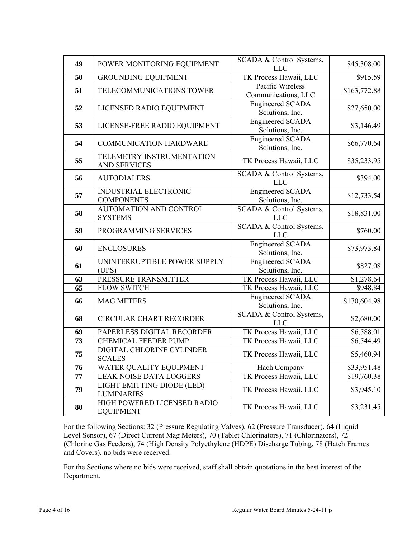| 49 | POWER MONITORING EQUIPMENT                        | SCADA & Control Systems,<br><b>LLC</b>     | \$45,308.00  |
|----|---------------------------------------------------|--------------------------------------------|--------------|
| 50 | <b>GROUNDING EQUIPMENT</b>                        | TK Process Hawaii, LLC                     | \$915.59     |
| 51 | TELECOMMUNICATIONS TOWER                          | Pacific Wireless<br>Communications, LLC    | \$163,772.88 |
| 52 | LICENSED RADIO EQUIPMENT                          | <b>Engineered SCADA</b><br>Solutions, Inc. | \$27,650.00  |
| 53 | LICENSE-FREE RADIO EQUIPMENT                      | <b>Engineered SCADA</b><br>Solutions, Inc. | \$3,146.49   |
| 54 | <b>COMMUNICATION HARDWARE</b>                     | <b>Engineered SCADA</b><br>Solutions, Inc. | \$66,770.64  |
| 55 | TELEMETRY INSTRUMENTATION<br><b>AND SERVICES</b>  | TK Process Hawaii, LLC                     | \$35,233.95  |
| 56 | <b>AUTODIALERS</b>                                | SCADA & Control Systems,<br><b>LLC</b>     | \$394.00     |
| 57 | <b>INDUSTRIAL ELECTRONIC</b><br><b>COMPONENTS</b> | <b>Engineered SCADA</b><br>Solutions, Inc. | \$12,733.54  |
| 58 | AUTOMATION AND CONTROL<br><b>SYSTEMS</b>          | SCADA & Control Systems,<br><b>LLC</b>     | \$18,831.00  |
| 59 | PROGRAMMING SERVICES                              | SCADA & Control Systems,<br><b>LLC</b>     | \$760.00     |
| 60 | <b>ENCLOSURES</b>                                 | <b>Engineered SCADA</b><br>Solutions, Inc. | \$73,973.84  |
| 61 | UNINTERRUPTIBLE POWER SUPPLY<br>(UPS)             | <b>Engineered SCADA</b><br>Solutions, Inc. | \$827.08     |
| 63 | PRESSURE TRANSMITTER                              | TK Process Hawaii, LLC                     | \$1,278.64   |
| 65 | <b>FLOW SWITCH</b>                                | TK Process Hawaii, LLC                     | \$948.84     |
| 66 | <b>MAG METERS</b>                                 | <b>Engineered SCADA</b><br>Solutions, Inc. | \$170,604.98 |
| 68 | <b>CIRCULAR CHART RECORDER</b>                    | SCADA & Control Systems,<br><b>LLC</b>     | \$2,680.00   |
| 69 | PAPERLESS DIGITAL RECORDER                        | TK Process Hawaii, LLC                     | \$6,588.01   |
| 73 | <b>CHEMICAL FEEDER PUMP</b>                       | TK Process Hawaii, LLC                     | \$6,544.49   |
| 75 | DIGITAL CHLORINE CYLINDER<br><b>SCALES</b>        | TK Process Hawaii, LLC                     | \$5,460.94   |
| 76 | WATER QUALITY EQUIPMENT                           | Hach Company                               | \$33,951.48  |
| 77 | <b>LEAK NOISE DATA LOGGERS</b>                    | TK Process Hawaii, LLC                     | \$19,760.38  |
| 79 | LIGHT EMITTING DIODE (LED)<br><b>LUMINARIES</b>   | TK Process Hawaii, LLC                     | \$3,945.10   |
| 80 | HIGH POWERED LICENSED RADIO<br><b>EQUIPMENT</b>   | TK Process Hawaii, LLC                     | \$3,231.45   |

For the following Sections: 32 (Pressure Regulating Valves), 62 (Pressure Transducer), 64 (Liquid Level Sensor), 67 (Direct Current Mag Meters), 70 (Tablet Chlorinators), 71 (Chlorinators), 72 (Chlorine Gas Feeders), 74 (High Density Polyethylene (HDPE) Discharge Tubing, 78 (Hatch Frames and Covers), no bids were received.

For the Sections where no bids were received, staff shall obtain quotations in the best interest of the Department.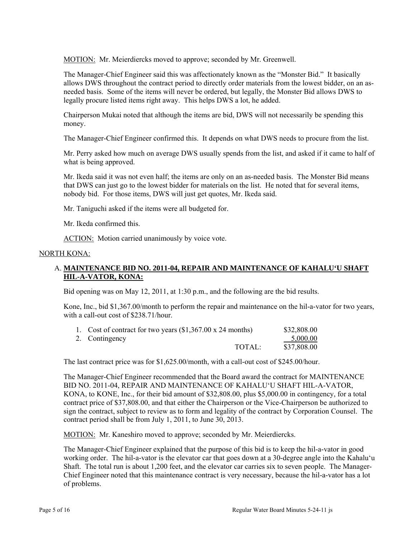MOTION: Mr. Meierdiercks moved to approve; seconded by Mr. Greenwell.

The Manager-Chief Engineer said this was affectionately known as the "Monster Bid." It basically allows DWS throughout the contract period to directly order materials from the lowest bidder, on an asneeded basis. Some of the items will never be ordered, but legally, the Monster Bid allows DWS to legally procure listed items right away. This helps DWS a lot, he added.

Chairperson Mukai noted that although the items are bid, DWS will not necessarily be spending this money.

The Manager-Chief Engineer confirmed this. It depends on what DWS needs to procure from the list.

Mr. Perry asked how much on average DWS usually spends from the list, and asked if it came to half of what is being approved.

Mr. Ikeda said it was not even half; the items are only on an as-needed basis. The Monster Bid means that DWS can just go to the lowest bidder for materials on the list. He noted that for several items, nobody bid. For those items, DWS will just get quotes, Mr. Ikeda said.

Mr. Taniguchi asked if the items were all budgeted for.

Mr. Ikeda confirmed this.

ACTION: Motion carried unanimously by voice vote.

### NORTH KONA:

## A. **MAINTENANCE BID NO. 2011-04, REPAIR AND MAINTENANCE OF KAHALU'U SHAFT HIL-A-VATOR, KONA:**

Bid opening was on May 12, 2011, at 1:30 p.m., and the following are the bid results.

Kone, Inc., bid \$1,367.00/month to perform the repair and maintenance on the hil-a-vator for two years, with a call-out cost of \$238.71/hour.

| 1. Cost of contract for two years $(\$1,367.00 \times 24 \text{ months})$ |        | \$32,808.00 |
|---------------------------------------------------------------------------|--------|-------------|
| 2. Contingency                                                            |        | $-5,000.00$ |
|                                                                           | TOTAL: | \$37,808.00 |

The last contract price was for \$1,625.00/month, with a call-out cost of \$245.00/hour.

The Manager-Chief Engineer recommended that the Board award the contract for MAINTENANCE BID NO. 2011-04, REPAIR AND MAINTENANCE OF KAHALU'U SHAFT HIL-A-VATOR, KONA, to KONE, Inc., for their bid amount of \$32,808.00, plus \$5,000.00 in contingency, for a total contract price of \$37,808.00, and that either the Chairperson or the Vice-Chairperson be authorized to sign the contract, subject to review as to form and legality of the contract by Corporation Counsel. The contract period shall be from July 1, 2011, to June 30, 2013.

MOTION: Mr. Kaneshiro moved to approve; seconded by Mr. Meierdiercks.

The Manager-Chief Engineer explained that the purpose of this bid is to keep the hil-a-vator in good working order. The hil-a-vator is the elevator car that goes down at a 30-degree angle into the Kahalu'u Shaft. The total run is about 1,200 feet, and the elevator car carries six to seven people. The Manager-Chief Engineer noted that this maintenance contract is very necessary, because the hil-a-vator has a lot of problems.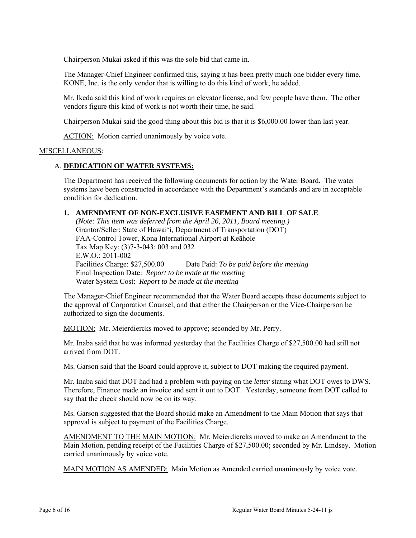Chairperson Mukai asked if this was the sole bid that came in.

The Manager-Chief Engineer confirmed this, saying it has been pretty much one bidder every time. KONE, Inc. is the only vendor that is willing to do this kind of work, he added.

Mr. Ikeda said this kind of work requires an elevator license, and few people have them. The other vendors figure this kind of work is not worth their time, he said.

Chairperson Mukai said the good thing about this bid is that it is \$6,000.00 lower than last year.

ACTION: Motion carried unanimously by voice vote.

### MISCELLANEOUS:

### A. **DEDICATION OF WATER SYSTEMS:**

The Department has received the following documents for action by the Water Board. The water systems have been constructed in accordance with the Department's standards and are in acceptable condition for dedication.

## **1. AMENDMENT OF NON-EXCLUSIVE EASEMENT AND BILL OF SALE**

*(Note: This item was deferred from the April 26, 2011, Board meeting.)*  Grantor/Seller: State of Hawai'i, Department of Transportation (DOT) FAA-Control Tower, Kona International Airport at Keāhole Tax Map Key: (3)7-3-043: 003 and 032 E.W.O.: 2011-002 Facilities Charge: \$27,500.00 Date Paid: *To be paid before the meeting*  Final Inspection Date: *Report to be made at the meetin*g Water System Cost: *Report to be made at the meeting* 

The Manager-Chief Engineer recommended that the Water Board accepts these documents subject to the approval of Corporation Counsel, and that either the Chairperson or the Vice-Chairperson be authorized to sign the documents.

MOTION: Mr. Meierdiercks moved to approve; seconded by Mr. Perry.

Mr. Inaba said that he was informed yesterday that the Facilities Charge of \$27,500.00 had still not arrived from DOT.

Ms. Garson said that the Board could approve it, subject to DOT making the required payment.

Mr. Inaba said that DOT had had a problem with paying on the *letter* stating what DOT owes to DWS. Therefore, Finance made an invoice and sent it out to DOT. Yesterday, someone from DOT called to say that the check should now be on its way.

Ms. Garson suggested that the Board should make an Amendment to the Main Motion that says that approval is subject to payment of the Facilities Charge.

AMENDMENT TO THE MAIN MOTION: Mr. Meierdiercks moved to make an Amendment to the Main Motion, pending receipt of the Facilities Charge of \$27,500.00; seconded by Mr. Lindsey. Motion carried unanimously by voice vote.

MAIN MOTION AS AMENDED: Main Motion as Amended carried unanimously by voice vote.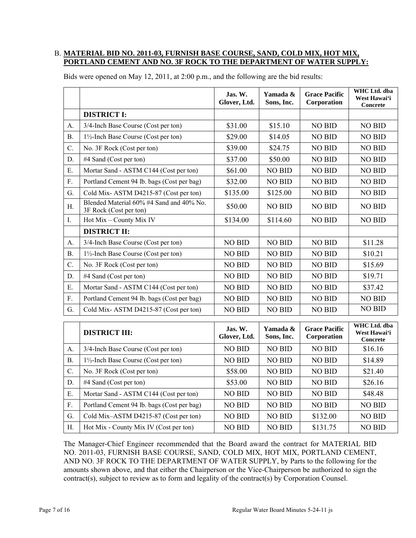### B. **MATERIAL BID NO. 2011-03, FURNISH BASE COURSE, SAND, COLD MIX, HOT MIX, PORTLAND CEMENT AND NO. 3F ROCK TO THE DEPARTMENT OF WATER SUPPLY:**

| <b>DISTRICT I:</b><br>\$31.00<br>\$15.10<br>3/4-Inch Base Course (Cost per ton)<br><b>NO BID</b><br><b>NO BID</b><br>A.<br>\$29.00<br>\$14.05<br><b>NO BID</b><br><b>NO BID</b><br><b>B.</b><br>$1\frac{1}{2}$ -Inch Base Course (Cost per ton)<br>C.<br>\$39.00<br>\$24.75<br><b>NO BID</b><br><b>NO BID</b><br>No. 3F Rock (Cost per ton)<br>#4 Sand (Cost per ton)<br>\$37.00<br>\$50.00<br><b>NO BID</b><br><b>NO BID</b><br>D.<br>E.<br>Mortar Sand - ASTM C144 (Cost per ton)<br>\$61.00<br><b>NO BID</b><br><b>NO BID</b><br><b>NO BID</b><br>F.<br>Portland Cement 94 lb. bags (Cost per bag)<br>\$32.00<br><b>NO BID</b><br><b>NO BID</b><br><b>NO BID</b><br>G.<br>Cold Mix-ASTM D4215-87 (Cost per ton)<br>\$135.00<br>\$125.00<br><b>NO BID</b><br><b>NO BID</b><br>Blended Material 60% #4 Sand and 40% No.<br><b>NO BID</b><br><b>NO BID</b><br>\$50.00<br><b>NO BID</b><br>Η.<br>3F Rock (Cost per ton) |  |
|------------------------------------------------------------------------------------------------------------------------------------------------------------------------------------------------------------------------------------------------------------------------------------------------------------------------------------------------------------------------------------------------------------------------------------------------------------------------------------------------------------------------------------------------------------------------------------------------------------------------------------------------------------------------------------------------------------------------------------------------------------------------------------------------------------------------------------------------------------------------------------------------------------------------|--|
|                                                                                                                                                                                                                                                                                                                                                                                                                                                                                                                                                                                                                                                                                                                                                                                                                                                                                                                        |  |
|                                                                                                                                                                                                                                                                                                                                                                                                                                                                                                                                                                                                                                                                                                                                                                                                                                                                                                                        |  |
|                                                                                                                                                                                                                                                                                                                                                                                                                                                                                                                                                                                                                                                                                                                                                                                                                                                                                                                        |  |
|                                                                                                                                                                                                                                                                                                                                                                                                                                                                                                                                                                                                                                                                                                                                                                                                                                                                                                                        |  |
|                                                                                                                                                                                                                                                                                                                                                                                                                                                                                                                                                                                                                                                                                                                                                                                                                                                                                                                        |  |
|                                                                                                                                                                                                                                                                                                                                                                                                                                                                                                                                                                                                                                                                                                                                                                                                                                                                                                                        |  |
|                                                                                                                                                                                                                                                                                                                                                                                                                                                                                                                                                                                                                                                                                                                                                                                                                                                                                                                        |  |
|                                                                                                                                                                                                                                                                                                                                                                                                                                                                                                                                                                                                                                                                                                                                                                                                                                                                                                                        |  |
|                                                                                                                                                                                                                                                                                                                                                                                                                                                                                                                                                                                                                                                                                                                                                                                                                                                                                                                        |  |
| Hot Mix - County Mix IV<br>\$134.00<br>\$114.60<br><b>NO BID</b><br><b>NO BID</b><br>I.                                                                                                                                                                                                                                                                                                                                                                                                                                                                                                                                                                                                                                                                                                                                                                                                                                |  |
| <b>DISTRICT II:</b>                                                                                                                                                                                                                                                                                                                                                                                                                                                                                                                                                                                                                                                                                                                                                                                                                                                                                                    |  |
| <b>NO BID</b><br><b>NO BID</b><br><b>NO BID</b><br>\$11.28<br>3/4-Inch Base Course (Cost per ton)<br>A.                                                                                                                                                                                                                                                                                                                                                                                                                                                                                                                                                                                                                                                                                                                                                                                                                |  |
| <b>NO BID</b><br><b>NO BID</b><br><b>NO BID</b><br>\$10.21<br>B <sub>1</sub><br>$1\frac{1}{2}$ -Inch Base Course (Cost per ton)                                                                                                                                                                                                                                                                                                                                                                                                                                                                                                                                                                                                                                                                                                                                                                                        |  |
| C.<br>No. 3F Rock (Cost per ton)<br><b>NO BID</b><br><b>NO BID</b><br><b>NO BID</b><br>\$15.69                                                                                                                                                                                                                                                                                                                                                                                                                                                                                                                                                                                                                                                                                                                                                                                                                         |  |
| <b>NO BID</b><br>D.<br>#4 Sand (Cost per ton)<br><b>NO BID</b><br><b>NO BID</b><br>\$19.71                                                                                                                                                                                                                                                                                                                                                                                                                                                                                                                                                                                                                                                                                                                                                                                                                             |  |
| <b>NO BID</b><br><b>NO BID</b><br>\$37.42<br>E.<br>Mortar Sand - ASTM C144 (Cost per ton)<br><b>NO BID</b>                                                                                                                                                                                                                                                                                                                                                                                                                                                                                                                                                                                                                                                                                                                                                                                                             |  |
| $F_{\cdot}$<br>Portland Cement 94 lb. bags (Cost per bag)<br><b>NO BID</b><br><b>NO BID</b><br><b>NO BID</b><br><b>NO BID</b>                                                                                                                                                                                                                                                                                                                                                                                                                                                                                                                                                                                                                                                                                                                                                                                          |  |
| <b>NO BID</b><br>G.<br>Cold Mix-ASTM D4215-87 (Cost per ton)<br><b>NO BID</b><br><b>NO BID</b><br><b>NO BID</b>                                                                                                                                                                                                                                                                                                                                                                                                                                                                                                                                                                                                                                                                                                                                                                                                        |  |
| WHC Ltd. dba                                                                                                                                                                                                                                                                                                                                                                                                                                                                                                                                                                                                                                                                                                                                                                                                                                                                                                           |  |
| Yamada &<br><b>Grace Pacific</b><br>Jas. W.<br><b>DISTRICT III:</b><br>West Hawai'i<br>Glover, Ltd.<br>Sons, Inc.<br>Corporation<br><b>Concrete</b>                                                                                                                                                                                                                                                                                                                                                                                                                                                                                                                                                                                                                                                                                                                                                                    |  |
| 3/4-Inch Base Course (Cost per ton)<br><b>NO BID</b><br><b>NO BID</b><br><b>NO BID</b><br>\$16.16<br>A.                                                                                                                                                                                                                                                                                                                                                                                                                                                                                                                                                                                                                                                                                                                                                                                                                |  |
| <b>NO BID</b><br><b>B.</b><br>$1\frac{1}{2}$ -Inch Base Course (Cost per ton)<br><b>NO BID</b><br><b>NO BID</b><br>\$14.89                                                                                                                                                                                                                                                                                                                                                                                                                                                                                                                                                                                                                                                                                                                                                                                             |  |
| $C$ .<br>\$58.00<br><b>NO BID</b><br><b>NO BID</b><br>\$21.40<br>No. 3F Rock (Cost per ton)                                                                                                                                                                                                                                                                                                                                                                                                                                                                                                                                                                                                                                                                                                                                                                                                                            |  |
| \$53.00<br><b>NO BID</b><br><b>NO BID</b><br>\$26.16<br>D.<br>#4 Sand (Cost per ton)                                                                                                                                                                                                                                                                                                                                                                                                                                                                                                                                                                                                                                                                                                                                                                                                                                   |  |
| E.<br>Mortar Sand - ASTM C144 (Cost per ton)<br><b>NO BID</b><br><b>NO BID</b><br><b>NO BID</b><br>\$48.48                                                                                                                                                                                                                                                                                                                                                                                                                                                                                                                                                                                                                                                                                                                                                                                                             |  |

Bids were opened on May 12, 2011, at 2:00 p.m., and the following are the bid results:

The Manager-Chief Engineer recommended that the Board award the contract for MATERIAL BID NO. 2011-03, FURNISH BASE COURSE, SAND, COLD MIX, HOT MIX, PORTLAND CEMENT, AND NO. 3F ROCK TO THE DEPARTMENT OF WATER SUPPLY, by Parts to the following for the amounts shown above, and that either the Chairperson or the Vice-Chairperson be authorized to sign the contract(s), subject to review as to form and legality of the contract(s) by Corporation Counsel.

F. Portland Cement 94 lb. bags (Cost per bag) NO BID NO BID NO BID NO BID NO BID G. Cold Mix–ASTM D4215-87 (Cost per ton)  $\vert$  NO BID  $\vert$  NO BID  $\vert$  \$132.00  $\vert$  NO BID H. Hot Mix - County Mix IV (Cost per ton)  $\vert$  NO BID  $\vert$  NO BID  $\vert$  \$131.75  $\vert$  NO BID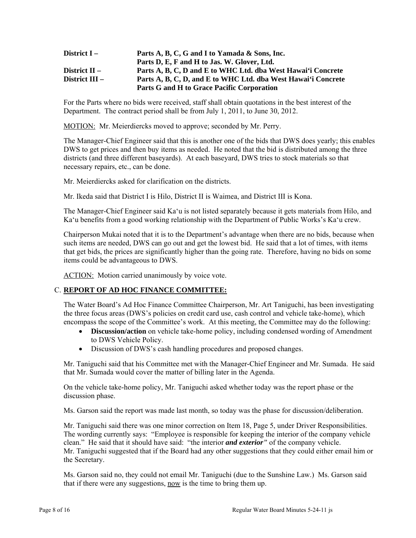| District I –    | Parts A, B, C, G and I to Yamada & Sons, Inc.                 |
|-----------------|---------------------------------------------------------------|
|                 | Parts D, E, F and H to Jas. W. Glover, Ltd.                   |
| District $II -$ | Parts A, B, C, D and E to WHC Ltd. dba West Hawai'i Concrete  |
| District III –  | Parts A, B, C, D, and E to WHC Ltd. dba West Hawai'i Concrete |
|                 | Parts G and H to Grace Pacific Corporation                    |

For the Parts where no bids were received, staff shall obtain quotations in the best interest of the Department. The contract period shall be from July 1, 2011, to June 30, 2012.

MOTION: Mr. Meierdiercks moved to approve; seconded by Mr. Perry.

The Manager-Chief Engineer said that this is another one of the bids that DWS does yearly; this enables DWS to get prices and then buy items as needed. He noted that the bid is distributed among the three districts (and three different baseyards). At each baseyard, DWS tries to stock materials so that necessary repairs, etc., can be done.

Mr. Meierdiercks asked for clarification on the districts.

Mr. Ikeda said that District I is Hilo, District II is Waimea, and District III is Kona.

The Manager-Chief Engineer said Ka'u is not listed separately because it gets materials from Hilo, and Ka'u benefits from a good working relationship with the Department of Public Works's Ka'u crew.

Chairperson Mukai noted that it is to the Department's advantage when there are no bids, because when such items are needed, DWS can go out and get the lowest bid. He said that a lot of times, with items that get bids, the prices are significantly higher than the going rate. Therefore, having no bids on some items could be advantageous to DWS.

ACTION: Motion carried unanimously by voice vote.

# C. **REPORT OF AD HOC FINANCE COMMITTEE:**

The Water Board's Ad Hoc Finance Committee Chairperson, Mr. Art Taniguchi, has been investigating the three focus areas (DWS's policies on credit card use, cash control and vehicle take-home), which encompass the scope of the Committee's work. At this meeting, the Committee may do the following:

- **Discussion/action** on vehicle take-home policy, including condensed wording of Amendment to DWS Vehicle Policy.
- Discussion of DWS's cash handling procedures and proposed changes.

Mr. Taniguchi said that his Committee met with the Manager-Chief Engineer and Mr. Sumada. He said that Mr. Sumada would cover the matter of billing later in the Agenda.

On the vehicle take-home policy, Mr. Taniguchi asked whether today was the report phase or the discussion phase.

Ms. Garson said the report was made last month, so today was the phase for discussion/deliberation.

Mr. Taniguchi said there was one minor correction on Item 18, Page 5, under Driver Responsibilities. The wording currently says: "Employee is responsible for keeping the interior of the company vehicle clean." He said that it should have said: "the interior *and exterior"* of the company vehicle. Mr. Taniguchi suggested that if the Board had any other suggestions that they could either email him or the Secretary.

Ms. Garson said no, they could not email Mr. Taniguchi (due to the Sunshine Law.) Ms. Garson said that if there were any suggestions, now is the time to bring them up.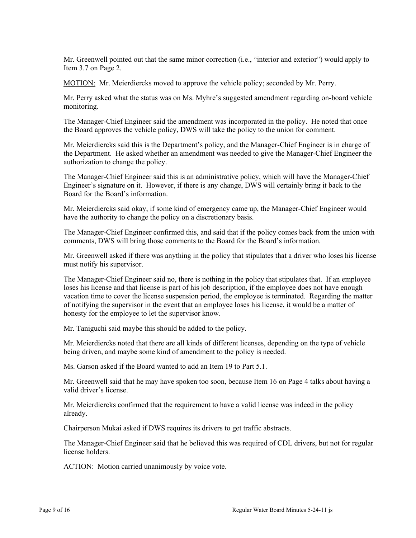Mr. Greenwell pointed out that the same minor correction (i.e., "interior and exterior") would apply to Item 3.7 on Page 2.

MOTION: Mr. Meierdiercks moved to approve the vehicle policy; seconded by Mr. Perry.

Mr. Perry asked what the status was on Ms. Myhre's suggested amendment regarding on-board vehicle monitoring.

The Manager-Chief Engineer said the amendment was incorporated in the policy. He noted that once the Board approves the vehicle policy, DWS will take the policy to the union for comment.

Mr. Meierdiercks said this is the Department's policy, and the Manager-Chief Engineer is in charge of the Department. He asked whether an amendment was needed to give the Manager-Chief Engineer the authorization to change the policy.

The Manager-Chief Engineer said this is an administrative policy, which will have the Manager-Chief Engineer's signature on it. However, if there is any change, DWS will certainly bring it back to the Board for the Board's information.

Mr. Meierdiercks said okay, if some kind of emergency came up, the Manager-Chief Engineer would have the authority to change the policy on a discretionary basis.

The Manager-Chief Engineer confirmed this, and said that if the policy comes back from the union with comments, DWS will bring those comments to the Board for the Board's information.

Mr. Greenwell asked if there was anything in the policy that stipulates that a driver who loses his license must notify his supervisor.

The Manager-Chief Engineer said no, there is nothing in the policy that stipulates that. If an employee loses his license and that license is part of his job description, if the employee does not have enough vacation time to cover the license suspension period, the employee is terminated. Regarding the matter of notifying the supervisor in the event that an employee loses his license, it would be a matter of honesty for the employee to let the supervisor know.

Mr. Taniguchi said maybe this should be added to the policy.

Mr. Meierdiercks noted that there are all kinds of different licenses, depending on the type of vehicle being driven, and maybe some kind of amendment to the policy is needed.

Ms. Garson asked if the Board wanted to add an Item 19 to Part 5.1.

Mr. Greenwell said that he may have spoken too soon, because Item 16 on Page 4 talks about having a valid driver's license.

Mr. Meierdiercks confirmed that the requirement to have a valid license was indeed in the policy already.

Chairperson Mukai asked if DWS requires its drivers to get traffic abstracts.

The Manager-Chief Engineer said that he believed this was required of CDL drivers, but not for regular license holders.

ACTION: Motion carried unanimously by voice vote.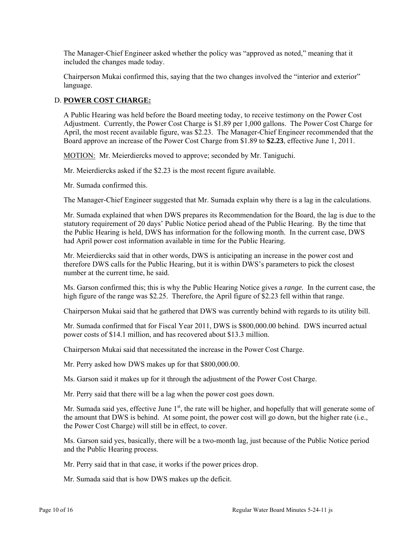The Manager-Chief Engineer asked whether the policy was "approved as noted," meaning that it included the changes made today.

Chairperson Mukai confirmed this, saying that the two changes involved the "interior and exterior" language.

## D. **POWER COST CHARGE:**

A Public Hearing was held before the Board meeting today, to receive testimony on the Power Cost Adjustment. Currently, the Power Cost Charge is \$1.89 per 1,000 gallons. The Power Cost Charge for April, the most recent available figure, was \$2.23. The Manager-Chief Engineer recommended that the Board approve an increase of the Power Cost Charge from \$1.89 to **\$2.23**, effective June 1, 2011.

MOTION: Mr. Meierdiercks moved to approve; seconded by Mr. Taniguchi.

Mr. Meierdiercks asked if the \$2.23 is the most recent figure available.

Mr. Sumada confirmed this.

The Manager-Chief Engineer suggested that Mr. Sumada explain why there is a lag in the calculations.

Mr. Sumada explained that when DWS prepares its Recommendation for the Board, the lag is due to the statutory requirement of 20 days' Public Notice period ahead of the Public Hearing. By the time that the Public Hearing is held, DWS has information for the following month. In the current case, DWS had April power cost information available in time for the Public Hearing.

Mr. Meierdiercks said that in other words, DWS is anticipating an increase in the power cost and therefore DWS calls for the Public Hearing, but it is within DWS's parameters to pick the closest number at the current time, he said.

Ms. Garson confirmed this; this is why the Public Hearing Notice gives a *range.* In the current case, the high figure of the range was \$2.25. Therefore, the April figure of \$2.23 fell within that range.

Chairperson Mukai said that he gathered that DWS was currently behind with regards to its utility bill.

Mr. Sumada confirmed that for Fiscal Year 2011, DWS is \$800,000.00 behind. DWS incurred actual power costs of \$14.1 million, and has recovered about \$13.3 million.

Chairperson Mukai said that necessitated the increase in the Power Cost Charge.

Mr. Perry asked how DWS makes up for that \$800,000.00.

Ms. Garson said it makes up for it through the adjustment of the Power Cost Charge.

Mr. Perry said that there will be a lag when the power cost goes down.

Mr. Sumada said yes, effective June  $1<sup>st</sup>$ , the rate will be higher, and hopefully that will generate some of the amount that DWS is behind. At some point, the power cost will go down, but the higher rate (i.e., the Power Cost Charge) will still be in effect, to cover.

Ms. Garson said yes, basically, there will be a two-month lag, just because of the Public Notice period and the Public Hearing process.

Mr. Perry said that in that case, it works if the power prices drop.

Mr. Sumada said that is how DWS makes up the deficit.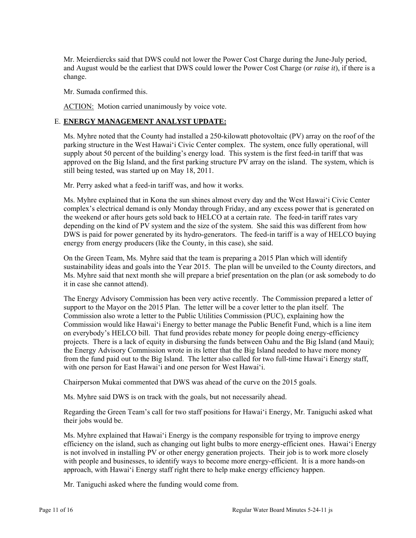Mr. Meierdiercks said that DWS could not lower the Power Cost Charge during the June-July period, and August would be the earliest that DWS could lower the Power Cost Charge (*or raise it*), if there is a change.

Mr. Sumada confirmed this.

ACTION: Motion carried unanimously by voice vote.

# E. **ENERGY MANAGEMENT ANALYST UPDATE:**

Ms. Myhre noted that the County had installed a 250-kilowatt photovoltaic (PV) array on the roof of the parking structure in the West Hawai'i Civic Center complex. The system, once fully operational, will supply about 50 percent of the building's energy load. This system is the first feed-in tariff that was approved on the Big Island, and the first parking structure PV array on the island. The system, which is still being tested, was started up on May 18, 2011.

Mr. Perry asked what a feed-in tariff was, and how it works.

Ms. Myhre explained that in Kona the sun shines almost every day and the West Hawai'i Civic Center complex's electrical demand is only Monday through Friday, and any excess power that is generated on the weekend or after hours gets sold back to HELCO at a certain rate. The feed-in tariff rates vary depending on the kind of PV system and the size of the system. She said this was different from how DWS is paid for power generated by its hydro-generators. The feed-in tariff is a way of HELCO buying energy from energy producers (like the County, in this case), she said.

On the Green Team, Ms. Myhre said that the team is preparing a 2015 Plan which will identify sustainability ideas and goals into the Year 2015. The plan will be unveiled to the County directors, and Ms. Myhre said that next month she will prepare a brief presentation on the plan (or ask somebody to do it in case she cannot attend).

The Energy Advisory Commission has been very active recently. The Commission prepared a letter of support to the Mayor on the 2015 Plan. The letter will be a cover letter to the plan itself. The Commission also wrote a letter to the Public Utilities Commission (PUC), explaining how the Commission would like Hawai'i Energy to better manage the Public Benefit Fund, which is a line item on everybody's HELCO bill. That fund provides rebate money for people doing energy-efficiency projects. There is a lack of equity in disbursing the funds between Oahu and the Big Island (and Maui); the Energy Advisory Commission wrote in its letter that the Big Island needed to have more money from the fund paid out to the Big Island. The letter also called for two full-time Hawai'i Energy staff, with one person for East Hawai'i and one person for West Hawai'i.

Chairperson Mukai commented that DWS was ahead of the curve on the 2015 goals.

Ms. Myhre said DWS is on track with the goals, but not necessarily ahead.

Regarding the Green Team's call for two staff positions for Hawai'i Energy, Mr. Taniguchi asked what their jobs would be.

Ms. Myhre explained that Hawai'i Energy is the company responsible for trying to improve energy efficiency on the island, such as changing out light bulbs to more energy-efficient ones. Hawai'i Energy is not involved in installing PV or other energy generation projects. Their job is to work more closely with people and businesses, to identify ways to become more energy-efficient. It is a more hands-on approach, with Hawai'i Energy staff right there to help make energy efficiency happen.

Mr. Taniguchi asked where the funding would come from.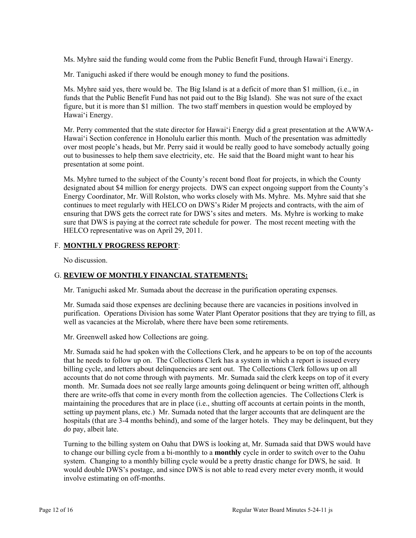Ms. Myhre said the funding would come from the Public Benefit Fund, through Hawai'i Energy.

Mr. Taniguchi asked if there would be enough money to fund the positions.

Ms. Myhre said yes, there would be. The Big Island is at a deficit of more than \$1 million, (i.e., in funds that the Public Benefit Fund has not paid out to the Big Island). She was not sure of the exact figure, but it is more than \$1 million. The two staff members in question would be employed by Hawai'i Energy.

Mr. Perry commented that the state director for Hawai'i Energy did a great presentation at the AWWA-Hawai'i Section conference in Honolulu earlier this month. Much of the presentation was admittedly over most people's heads, but Mr. Perry said it would be really good to have somebody actually going out to businesses to help them save electricity, etc. He said that the Board might want to hear his presentation at some point.

Ms. Myhre turned to the subject of the County's recent bond float for projects, in which the County designated about \$4 million for energy projects. DWS can expect ongoing support from the County's Energy Coordinator, Mr. Will Rolston, who works closely with Ms. Myhre. Ms. Myhre said that she continues to meet regularly with HELCO on DWS's Rider M projects and contracts, with the aim of ensuring that DWS gets the correct rate for DWS's sites and meters. Ms. Myhre is working to make sure that DWS is paying at the correct rate schedule for power. The most recent meeting with the HELCO representative was on April 29, 2011.

## F. **MONTHLY PROGRESS REPORT**:

No discussion.

## G. **REVIEW OF MONTHLY FINANCIAL STATEMENTS:**

Mr. Taniguchi asked Mr. Sumada about the decrease in the purification operating expenses.

Mr. Sumada said those expenses are declining because there are vacancies in positions involved in purification. Operations Division has some Water Plant Operator positions that they are trying to fill, as well as vacancies at the Microlab, where there have been some retirements.

Mr. Greenwell asked how Collections are going.

Mr. Sumada said he had spoken with the Collections Clerk, and he appears to be on top of the accounts that he needs to follow up on. The Collections Clerk has a system in which a report is issued every billing cycle, and letters about delinquencies are sent out. The Collections Clerk follows up on all accounts that do not come through with payments. Mr. Sumada said the clerk keeps on top of it every month. Mr. Sumada does not see really large amounts going delinquent or being written off, although there are write-offs that come in every month from the collection agencies. The Collections Clerk is maintaining the procedures that are in place (i.e., shutting off accounts at certain points in the month, setting up payment plans, etc.) Mr. Sumada noted that the larger accounts that are delinquent are the hospitals (that are 3-4 months behind), and some of the larger hotels. They may be delinquent, but they *do* pay, albeit late.

Turning to the billing system on Oahu that DWS is looking at, Mr. Sumada said that DWS would have to change our billing cycle from a bi-monthly to a **monthly** cycle in order to switch over to the Oahu system. Changing to a monthly billing cycle would be a pretty drastic change for DWS, he said. It would double DWS's postage, and since DWS is not able to read every meter every month, it would involve estimating on off-months.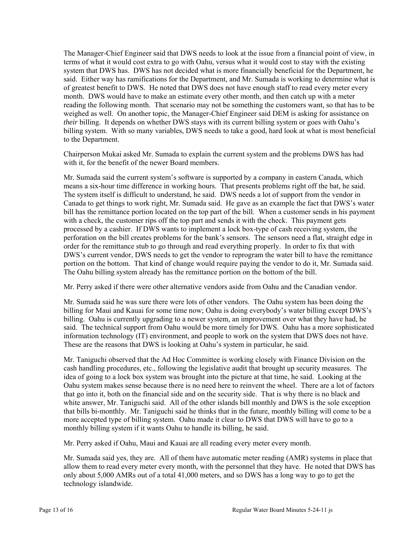The Manager-Chief Engineer said that DWS needs to look at the issue from a financial point of view, in terms of what it would cost extra to go with Oahu, versus what it would cost to stay with the existing system that DWS has. DWS has not decided what is more financially beneficial for the Department, he said. Either way has ramifications for the Department, and Mr. Sumada is working to determine what is of greatest benefit to DWS. He noted that DWS does not have enough staff to read every meter every month. DWS would have to make an estimate every other month, and then catch up with a meter reading the following month. That scenario may not be something the customers want, so that has to be weighed as well. On another topic, the Manager-Chief Engineer said DEM is asking for assistance on *their* billing. It depends on whether DWS stays with its current billing system or goes with Oahu's billing system. With so many variables, DWS needs to take a good, hard look at what is most beneficial to the Department.

Chairperson Mukai asked Mr. Sumada to explain the current system and the problems DWS has had with it, for the benefit of the newer Board members.

Mr. Sumada said the current system's software is supported by a company in eastern Canada, which means a six-hour time difference in working hours. That presents problems right off the bat, he said. The system itself is difficult to understand, he said. DWS needs a lot of support from the vendor in Canada to get things to work right, Mr. Sumada said. He gave as an example the fact that DWS's water bill has the remittance portion located on the top part of the bill. When a customer sends in his payment with a check, the customer rips off the top part and sends it with the check. This payment gets processed by a cashier. If DWS wants to implement a lock box-type of cash receiving system, the perforation on the bill creates problems for the bank's sensors. The sensors need a flat, straight edge in order for the remittance stub to go through and read everything properly. In order to fix that with DWS's current vendor, DWS needs to get the vendor to reprogram the water bill to have the remittance portion on the bottom. That kind of change would require paying the vendor to do it, Mr. Sumada said. The Oahu billing system already has the remittance portion on the bottom of the bill.

Mr. Perry asked if there were other alternative vendors aside from Oahu and the Canadian vendor.

Mr. Sumada said he was sure there were lots of other vendors. The Oahu system has been doing the billing for Maui and Kauai for some time now; Oahu is doing everybody's water billing except DWS's billing. Oahu is currently upgrading to a newer system, an improvement over what they have had, he said. The technical support from Oahu would be more timely for DWS. Oahu has a more sophisticated information technology (IT) environment, and people to work on the system that DWS does not have. These are the reasons that DWS is looking at Oahu's system in particular, he said.

Mr. Taniguchi observed that the Ad Hoc Committee is working closely with Finance Division on the cash handling procedures, etc., following the legislative audit that brought up security measures. The idea of going to a lock box system was brought into the picture at that time, he said. Looking at the Oahu system makes sense because there is no need here to reinvent the wheel. There are a lot of factors that go into it, both on the financial side and on the security side. That is why there is no black and white answer, Mr. Taniguchi said. All of the other islands bill monthly and DWS is the sole exception that bills bi-monthly. Mr. Taniguchi said he thinks that in the future, monthly billing will come to be a more accepted type of billing system. Oahu made it clear to DWS that DWS will have to go to a monthly billing system if it wants Oahu to handle its billing, he said.

Mr. Perry asked if Oahu, Maui and Kauai are all reading every meter every month.

Mr. Sumada said yes, they are. All of them have automatic meter reading (AMR) systems in place that allow them to read every meter every month, with the personnel that they have. He noted that DWS has only about 5,000 AMRs out of a total 41,000 meters, and so DWS has a long way to go to get the technology islandwide.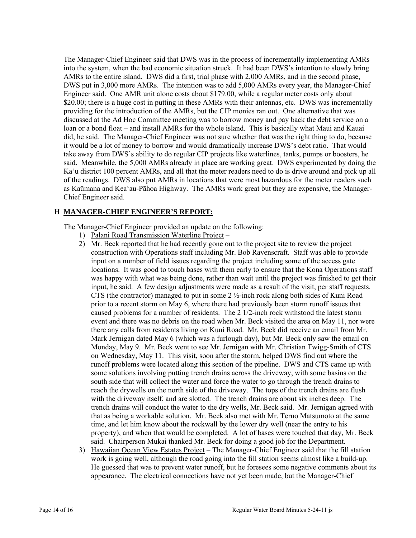The Manager-Chief Engineer said that DWS was in the process of incrementally implementing AMRs into the system, when the bad economic situation struck. It had been DWS's intention to slowly bring AMRs to the entire island. DWS did a first, trial phase with 2,000 AMRs, and in the second phase, DWS put in 3,000 more AMRs. The intention was to add 5,000 AMRs every year, the Manager-Chief Engineer said. One AMR unit alone costs about \$179.00, while a regular meter costs only about \$20.00; there is a huge cost in putting in these AMRs with their antennas, etc. DWS was incrementally providing for the introduction of the AMRs, but the CIP monies ran out. One alternative that was discussed at the Ad Hoc Committee meeting was to borrow money and pay back the debt service on a loan or a bond float – and install AMRs for the whole island. This is basically what Maui and Kauai did, he said. The Manager-Chief Engineer was not sure whether that was the right thing to do, because it would be a lot of money to borrow and would dramatically increase DWS's debt ratio. That would take away from DWS's ability to do regular CIP projects like waterlines, tanks, pumps or boosters, he said. Meanwhile, the 5,000 AMRs already in place are working great. DWS experimented by doing the Ka'u district 100 percent AMRs, and all that the meter readers need to do is drive around and pick up all of the readings. DWS also put AMRs in locations that were most hazardous for the meter readers such as Kaūmana and Kea'au-Pāhoa Highway. The AMRs work great but they are expensive, the Manager-Chief Engineer said.

## H **MANAGER-CHIEF ENGINEER'S REPORT:**

The Manager-Chief Engineer provided an update on the following:

- 1) Palani Road Transmission Waterline Project –
- 2) Mr. Beck reported that he had recently gone out to the project site to review the project construction with Operations staff including Mr. Bob Ravenscraft. Staff was able to provide input on a number of field issues regarding the project including some of the access gate locations. It was good to touch bases with them early to ensure that the Kona Operations staff was happy with what was being done, rather than wait until the project was finished to get their input, he said. A few design adjustments were made as a result of the visit, per staff requests. CTS (the contractor) managed to put in some  $2 \frac{1}{2}$ -inch rock along both sides of Kuni Road prior to a recent storm on May 6, where there had previously been storm runoff issues that caused problems for a number of residents. The 2 1/2-inch rock withstood the latest storm event and there was no debris on the road when Mr. Beck visited the area on May 11, nor were there any calls from residents living on Kuni Road. Mr. Beck did receive an email from Mr. Mark Jernigan dated May 6 (which was a furlough day), but Mr. Beck only saw the email on Monday, May 9. Mr. Beck went to see Mr. Jernigan with Mr. Christian Twigg-Smith of CTS on Wednesday, May 11. This visit, soon after the storm, helped DWS find out where the runoff problems were located along this section of the pipeline. DWS and CTS came up with some solutions involving putting trench drains across the driveway, with some basins on the south side that will collect the water and force the water to go through the trench drains to reach the drywells on the north side of the driveway. The tops of the trench drains are flush with the driveway itself, and are slotted. The trench drains are about six inches deep. The trench drains will conduct the water to the dry wells, Mr. Beck said. Mr. Jernigan agreed with that as being a workable solution. Mr. Beck also met with Mr. Teruo Matsumoto at the same time, and let him know about the rockwall by the lower dry well (near the entry to his property), and when that would be completed. A lot of bases were touched that day, Mr. Beck said. Chairperson Mukai thanked Mr. Beck for doing a good job for the Department.
- 3) Hawaiian Ocean View Estates Project The Manager-Chief Engineer said that the fill station work is going well, although the road going into the fill station seems almost like a build-up. He guessed that was to prevent water runoff, but he foresees some negative comments about its appearance. The electrical connections have not yet been made, but the Manager-Chief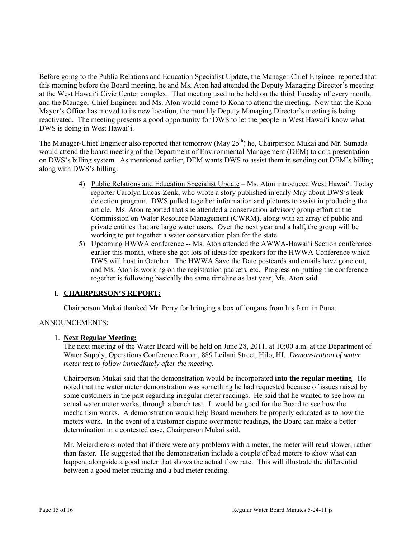Before going to the Public Relations and Education Specialist Update, the Manager-Chief Engineer reported that this morning before the Board meeting, he and Ms. Aton had attended the Deputy Managing Director's meeting at the West Hawai'i Civic Center complex. That meeting used to be held on the third Tuesday of every month, and the Manager-Chief Engineer and Ms. Aton would come to Kona to attend the meeting. Now that the Kona Mayor's Office has moved to its new location, the monthly Deputy Managing Director's meeting is being reactivated. The meeting presents a good opportunity for DWS to let the people in West Hawai'i know what DWS is doing in West Hawai'i.

The Manager-Chief Engineer also reported that tomorrow (May 25<sup>th</sup>) he, Chairperson Mukai and Mr. Sumada would attend the board meeting of the Department of Environmental Management (DEM) to do a presentation on DWS's billing system. As mentioned earlier, DEM wants DWS to assist them in sending out DEM's billing along with DWS's billing.

- 4) Public Relations and Education Specialist Update Ms. Aton introduced West Hawai'i Today reporter Carolyn Lucas-Zenk, who wrote a story published in early May about DWS's leak detection program. DWS pulled together information and pictures to assist in producing the article. Ms. Aton reported that she attended a conservation advisory group effort at the Commission on Water Resource Management (CWRM), along with an array of public and private entities that are large water users. Over the next year and a half, the group will be working to put together a water conservation plan for the state.
- 5) Upcoming HWWA conference -- Ms. Aton attended the AWWA-Hawai'i Section conference earlier this month, where she got lots of ideas for speakers for the HWWA Conference which DWS will host in October. The HWWA Save the Date postcards and emails have gone out, and Ms. Aton is working on the registration packets, etc. Progress on putting the conference together is following basically the same timeline as last year, Ms. Aton said.

# I. **CHAIRPERSON'S REPORT:**

Chairperson Mukai thanked Mr. Perry for bringing a box of longans from his farm in Puna.

## ANNOUNCEMENTS:

## 1. **Next Regular Meeting:**

The next meeting of the Water Board will be held on June 28, 2011, at 10:00 a.m. at the Department of Water Supply, Operations Conference Room, 889 Leilani Street, Hilo, HI. *Demonstration of water meter test to follow immediately after the meeting.* 

Chairperson Mukai said that the demonstration would be incorporated **into the regular meeting**. He noted that the water meter demonstration was something he had requested because of issues raised by some customers in the past regarding irregular meter readings. He said that he wanted to see how an actual water meter works, through a bench test. It would be good for the Board to see how the mechanism works. A demonstration would help Board members be properly educated as to how the meters work. In the event of a customer dispute over meter readings, the Board can make a better determination in a contested case, Chairperson Mukai said.

Mr. Meierdiercks noted that if there were any problems with a meter, the meter will read slower, rather than faster. He suggested that the demonstration include a couple of bad meters to show what can happen, alongside a good meter that shows the actual flow rate. This will illustrate the differential between a good meter reading and a bad meter reading.